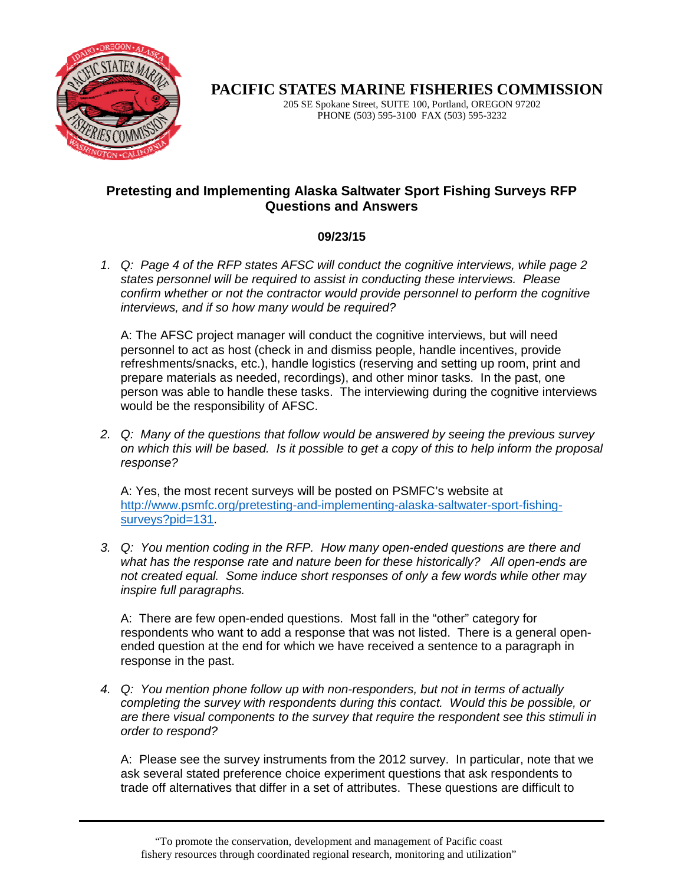

**PACIFIC STATES MARINE FISHERIES COMMISSION** 

205 SE Spokane Street, SUITE 100, Portland, OREGON 97202 PHONE (503) 595-3100 FAX (503) 595-3232

## **Pretesting and Implementing Alaska Saltwater Sport Fishing Surveys RFP Questions and Answers**

## **09/23/15**

1. Q: Page 4 of the RFP states AFSC will conduct the cognitive interviews, while page 2 states personnel will be required to assist in conducting these interviews. Please confirm whether or not the contractor would provide personnel to perform the cognitive interviews, and if so how many would be required?

A: The AFSC project manager will conduct the cognitive interviews, but will need personnel to act as host (check in and dismiss people, handle incentives, provide refreshments/snacks, etc.), handle logistics (reserving and setting up room, print and prepare materials as needed, recordings), and other minor tasks. In the past, one person was able to handle these tasks. The interviewing during the cognitive interviews would be the responsibility of AFSC.

2. Q: Many of the questions that follow would be answered by seeing the previous survey on which this will be based. Is it possible to get a copy of this to help inform the proposal response?

A: Yes, the most recent surveys will be posted on PSMFC's website at http://www.psmfc.org/pretesting-and-implementing-alaska-saltwater-sport-fishingsurveys?pid=131.

3. Q: You mention coding in the RFP. How many open-ended questions are there and what has the response rate and nature been for these historically? All open-ends are not created equal. Some induce short responses of only a few words while other may inspire full paragraphs.

A: There are few open-ended questions. Most fall in the "other" category for respondents who want to add a response that was not listed. There is a general openended question at the end for which we have received a sentence to a paragraph in response in the past.

4. Q: You mention phone follow up with non-responders, but not in terms of actually completing the survey with respondents during this contact. Would this be possible, or are there visual components to the survey that require the respondent see this stimuli in order to respond?

A: Please see the survey instruments from the 2012 survey. In particular, note that we ask several stated preference choice experiment questions that ask respondents to trade off alternatives that differ in a set of attributes. These questions are difficult to

<sup>&</sup>quot;To promote the conservation, development and management of Pacific coast fishery resources through coordinated regional research, monitoring and utilization"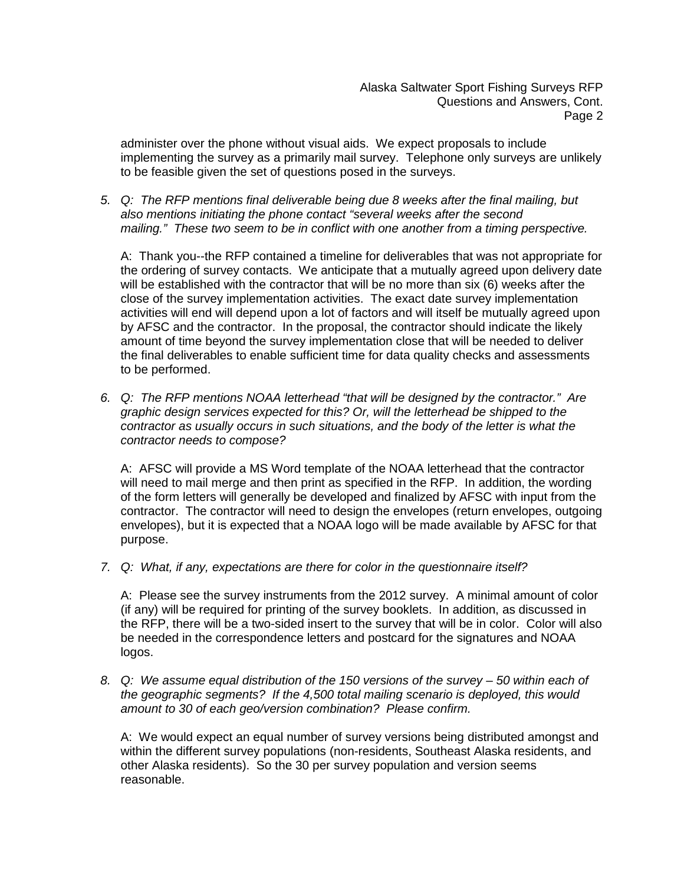Alaska Saltwater Sport Fishing Surveys RFP Questions and Answers, Cont. Page 2

administer over the phone without visual aids. We expect proposals to include implementing the survey as a primarily mail survey. Telephone only surveys are unlikely to be feasible given the set of questions posed in the surveys.

5. Q: The RFP mentions final deliverable being due 8 weeks after the final mailing, but also mentions initiating the phone contact "several weeks after the second mailing." These two seem to be in conflict with one another from a timing perspective.

A: Thank you--the RFP contained a timeline for deliverables that was not appropriate for the ordering of survey contacts. We anticipate that a mutually agreed upon delivery date will be established with the contractor that will be no more than six (6) weeks after the close of the survey implementation activities. The exact date survey implementation activities will end will depend upon a lot of factors and will itself be mutually agreed upon by AFSC and the contractor. In the proposal, the contractor should indicate the likely amount of time beyond the survey implementation close that will be needed to deliver the final deliverables to enable sufficient time for data quality checks and assessments to be performed.

6. Q: The RFP mentions NOAA letterhead "that will be designed by the contractor." Are graphic design services expected for this? Or, will the letterhead be shipped to the contractor as usually occurs in such situations, and the body of the letter is what the contractor needs to compose?

A: AFSC will provide a MS Word template of the NOAA letterhead that the contractor will need to mail merge and then print as specified in the RFP. In addition, the wording of the form letters will generally be developed and finalized by AFSC with input from the contractor. The contractor will need to design the envelopes (return envelopes, outgoing envelopes), but it is expected that a NOAA logo will be made available by AFSC for that purpose.

7. Q: What, if any, expectations are there for color in the questionnaire itself?

A: Please see the survey instruments from the 2012 survey. A minimal amount of color (if any) will be required for printing of the survey booklets. In addition, as discussed in the RFP, there will be a two-sided insert to the survey that will be in color. Color will also be needed in the correspondence letters and postcard for the signatures and NOAA logos.

8. Q: We assume equal distribution of the 150 versions of the survey – 50 within each of the geographic segments? If the 4,500 total mailing scenario is deployed, this would amount to 30 of each geo/version combination? Please confirm.

A: We would expect an equal number of survey versions being distributed amongst and within the different survey populations (non-residents, Southeast Alaska residents, and other Alaska residents). So the 30 per survey population and version seems reasonable.